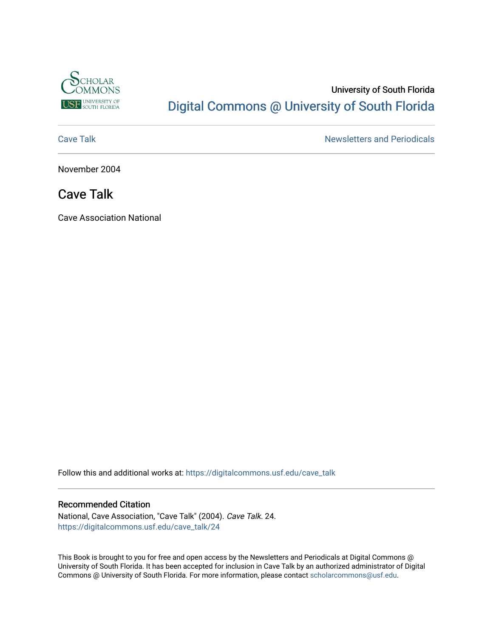

# University of South Florida [Digital Commons @ University of South Florida](https://digitalcommons.usf.edu/)

[Cave Talk](https://digitalcommons.usf.edu/cave_talk) **Newsletters** and Periodicals

November 2004

## Cave Talk

Cave Association National

Follow this and additional works at: [https://digitalcommons.usf.edu/cave\\_talk](https://digitalcommons.usf.edu/cave_talk?utm_source=digitalcommons.usf.edu%2Fcave_talk%2F24&utm_medium=PDF&utm_campaign=PDFCoverPages) 

#### Recommended Citation

National, Cave Association, "Cave Talk" (2004). Cave Talk. 24. [https://digitalcommons.usf.edu/cave\\_talk/24](https://digitalcommons.usf.edu/cave_talk/24?utm_source=digitalcommons.usf.edu%2Fcave_talk%2F24&utm_medium=PDF&utm_campaign=PDFCoverPages)

This Book is brought to you for free and open access by the Newsletters and Periodicals at Digital Commons @ University of South Florida. It has been accepted for inclusion in Cave Talk by an authorized administrator of Digital Commons @ University of South Florida. For more information, please contact [scholarcommons@usf.edu](mailto:scholarcommons@usf.edu).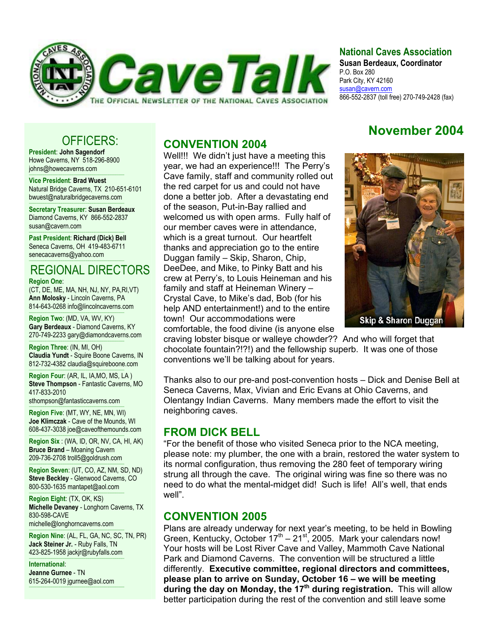

#### **National Caves Association**

**Susan Berdeaux, Coordinator** P.O. Box 280 Park City, KY 42160 susan@cavern.com 866-552-2837 (toll free) 270-749-2428 (fax)

**November 2004** 

# OFFICERS:

**President**: **John Sagendorf** Howe Caverns, NY 518-296-8900 johns@howecaverns.com

----------------------------------------------------------------------------------------- **Vice President**: **Brad Wuest** Natural Bridge Caverns, TX 210-651-6101 bwuest@naturalbridgecaverns.com

----------------------------------------------------------------------------------------- **Secretary Treasurer**: **Susan Berdeaux** Diamond Caverns, KY 866-552-2837 susan@cavern.com

----------------------------------------------------------------------------------------- **Past President**: **Richard (Dick) Bell** Seneca Caverns, OH 419-483-6711 senecacaverns@yahoo.com

#### ----------------------------------------------------------------------------------------- REGIONAL DIRECTORS

**Region One**:

(CT, DE, ME, MA, NH, NJ, NY, PA,RI,VT) **Ann Molosky** - Lincoln Caverns, PA 814-643-0268 info@lincolncaverns.com

----------------------------------------------------------------------------------------- **Region Two**: (MD, VA, WV, KY) **Gary Berdeaux** - Diamond Caverns, KY 270-749-2233 gary@diamondcaverns.com

----------------------------------------------------------------------------------------- **Region Three**: (IN, MI, OH) **Claudia Yundt** - Squire Boone Caverns, IN 812-732-4382 claudia@squireboone.com

**Region Four**: (AR, IL, IA,MO, MS, LA ) **Steve Thompson** - Fantastic Caverns, MO 417-833-2010

sthompson@fantasticcaverns.com

-----------------------------------------------------------------------------------------

----------------------------------------------------------------------------------------- **Region Five**: (MT, WY, NE, MN, WI) **Joe Klimczak** - Cave of the Mounds, WI 608-437-3038 joe@caveofthemounds.com

----------------------------------------------------------------------------------------- **Region Six** : (WA, ID, OR, NV, CA, HI, AK) **Bruce Brand** – Moaning Cavern 209-736-2708 troll5@goldrush.com

**Region Seven: (UT, CO, AZ, NM, SD, ND) Steve Beckley** - Glenwood Caverns, CO 800-530-1635 mantapet@aol.com

----------------------------------------------------------------------------------------- **Region Eight**: (TX, OK, KS) **Michelle Devaney** - Longhorn Caverns, TX 830-598-CAVE

michelle@longhorncaverns.com -----------------------------------------------------------------------------------------

**Region Nine**: (AL, FL, GA, NC, SC, TN, PR) **Jack Steiner Jr.** - Ruby Falls, TN 423-825-1958 jackjr@rubyfalls.com -----------------------------------------------------------------------------------------

**International**: **Jeanne Gurnee** - TN 615-264-0019 jgurnee@aol.com

-----------------------------------------------------------------------------------------

#### **CONVENTION 2004**

Well!!! We didn't just have a meeting this year, we had an experience!!! The Perry's Cave family, staff and community rolled out the red carpet for us and could not have done a better job. After a devastating end of the season, Put-in-Bay rallied and welcomed us with open arms. Fully half of our member caves were in attendance, which is a great turnout. Our heartfelt thanks and appreciation go to the entire Duggan family – Skip, Sharon, Chip, DeeDee, and Mike, to Pinky Batt and his crew at Perry's, to Louis Heineman and his family and staff at Heineman Winery – Crystal Cave, to Mike's dad, Bob (for his help AND entertainment!) and to the entire town! Our accommodations were comfortable, the food divine (is anyone else



craving lobster bisque or walleye chowder?? And who will forget that chocolate fountain?!?!) and the fellowship superb. It was one of those conventions we'll be talking about for years.

Thanks also to our pre-and post-convention hosts – Dick and Denise Bell at Seneca Caverns, Max, Vivian and Eric Evans at Ohio Caverns, and Olentangy Indian Caverns. Many members made the effort to visit the neighboring caves.

#### **FROM DICK BELL**

"For the benefit of those who visited Seneca prior to the NCA meeting, please note: my plumber, the one with a brain, restored the water system to its normal configuration, thus removing the 280 feet of temporary wiring strung all through the cave. The original wiring was fine so there was no need to do what the mental-midget did! Such is life! All's well, that ends well".

#### **CONVENTION 2005**

Plans are already underway for next year's meeting, to be held in Bowling Green, Kentucky, October  $17<sup>th</sup> - 21<sup>st</sup>$ , 2005. Mark your calendars now! Your hosts will be Lost River Cave and Valley, Mammoth Cave National Park and Diamond Caverns. The convention will be structured a little differently. **Executive committee, regional directors and committees, please plan to arrive on Sunday, October 16 – we will be meeting**  during the day on Monday, the 17<sup>th</sup> during registration. This will allow better participation during the rest of the convention and still leave some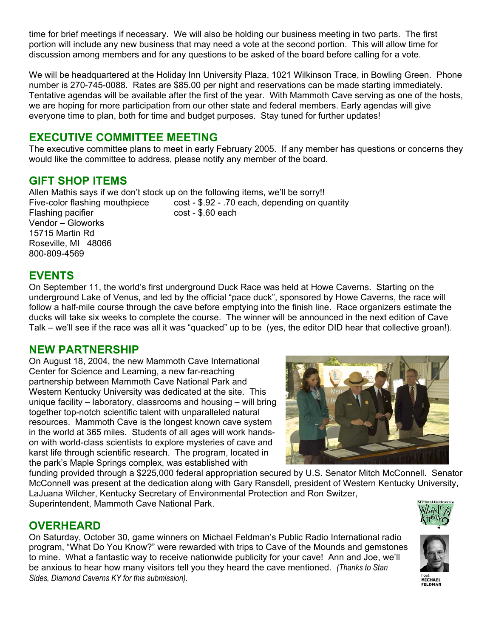time for brief meetings if necessary. We will also be holding our business meeting in two parts. The first portion will include any new business that may need a vote at the second portion. This will allow time for discussion among members and for any questions to be asked of the board before calling for a vote.

We will be headquartered at the Holiday Inn University Plaza, 1021 Wilkinson Trace, in Bowling Green. Phone number is 270-745-0088. Rates are \$85.00 per night and reservations can be made starting immediately. Tentative agendas will be available after the first of the year. With Mammoth Cave serving as one of the hosts, we are hoping for more participation from our other state and federal members. Early agendas will give everyone time to plan, both for time and budget purposes. Stay tuned for further updates!

## **EXECUTIVE COMMITTEE MEETING**

The executive committee plans to meet in early February 2005. If any member has questions or concerns they would like the committee to address, please notify any member of the board.

## **GIFT SHOP ITEMS**

Allen Mathis says if we don't stock up on the following items, we'll be sorry!! Five-color flashing mouthpiece cost - \$.92 - .70 each, depending on quantity Flashing pacifier cost - \$.60 each Vendor – Gloworks 15715 Martin Rd Roseville, MI 48066

## **EVENTS**

800-809-4569

On September 11, the world's first underground Duck Race was held at Howe Caverns. Starting on the underground Lake of Venus, and led by the official "pace duck", sponsored by Howe Caverns, the race will follow a half-mile course through the cave before emptying into the finish line. Race organizers estimate the ducks will take six weeks to complete the course. The winner will be announced in the next edition of Cave Talk – we'll see if the race was all it was "quacked" up to be (yes, the editor DID hear that collective groan!).

#### **NEW PARTNERSHIP**

On August 18, 2004, the new Mammoth Cave International Center for Science and Learning, a new far-reaching partnership between Mammoth Cave National Park and Western Kentucky University was dedicated at the site. This unique facility – laboratory, classrooms and housing – will bring together top-notch scientific talent with unparalleled natural resources. Mammoth Cave is the longest known cave system in the world at 365 miles. Students of all ages will work handson with world-class scientists to explore mysteries of cave and karst life through scientific research. The program, located in the park's Maple Springs complex, was established with

funding provided through a \$225,000 federal appropriation secured by U.S. Senator Mitch McConnell. Senator McConnell was present at the dedication along with Gary Ransdell, president of Western Kentucky University, LaJuana Wilcher, Kentucky Secretary of Environmental Protection and Ron Switzer, Superintendent, Mammoth Cave National Park.



On Saturday, October 30, game winners on Michael Feldman's Public Radio International radio program, "What Do You Know?" were rewarded with trips to Cave of the Mounds and gemstones to mine. What a fantastic way to receive nationwide publicity for your cave! Ann and Joe, we'll be anxious to hear how many visitors tell you they heard the cave mentioned. *(Thanks to Stan Sides, Diamond Caverns KY for this submission).*





**MICHAEL**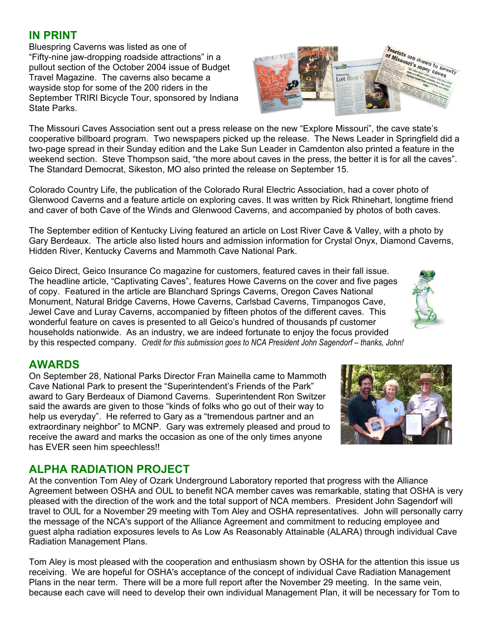#### **IN PRINT**

Bluespring Caverns was listed as one of "Fifty-nine jaw-dropping roadside attractions" in a pullout section of the October 2004 issue of Budget Travel Magazine. The caverns also became a wayside stop for some of the 200 riders in the September TRIRI Bicycle Tour, sponsored by Indiana State Parks.

The Missouri Caves Association sent out a press release on the new "Explore Missouri", the cave state's cooperative billboard program. Two newspapers picked up the release. The News Leader in Springfield did a two-page spread in their Sunday edition and the Lake Sun Leader in Camdenton also printed a feature in the weekend section. Steve Thompson said, "the more about caves in the press, the better it is for all the caves". The Standard Democrat, Sikeston, MO also printed the release on September 15.

Colorado Country Life, the publication of the Colorado Rural Electric Association, had a cover photo of Glenwood Caverns and a feature article on exploring caves. It was written by Rick Rhinehart, longtime friend and caver of both Cave of the Winds and Glenwood Caverns, and accompanied by photos of both caves.

The September edition of Kentucky Living featured an article on Lost River Cave & Valley, with a photo by Gary Berdeaux. The article also listed hours and admission information for Crystal Onyx, Diamond Caverns, Hidden River, Kentucky Caverns and Mammoth Cave National Park.

Geico Direct, Geico Insurance Co magazine for customers, featured caves in their fall issue. The headline article, "Captivating Caves", features Howe Caverns on the cover and five pages of copy. Featured in the article are Blanchard Springs Caverns, Oregon Caves National Monument, Natural Bridge Caverns, Howe Caverns, Carlsbad Caverns, Timpanogos Cave, Jewel Cave and Luray Caverns, accompanied by fifteen photos of the different caves. This wonderful feature on caves is presented to all Geico's hundred of thousands pf customer households nationwide. As an industry, we are indeed fortunate to enjoy the focus provided by this respected company. *Credit for this submission goes to NCA President John Sagendorf – thanks, John!*

## **AWARDS**

On September 28, National Parks Director Fran Mainella came to Mammoth Cave National Park to present the "Superintendent's Friends of the Park" award to Gary Berdeaux of Diamond Caverns. Superintendent Ron Switzer said the awards are given to those "kinds of folks who go out of their way to help us everyday". He referred to Gary as a "tremendous partner and an extraordinary neighbor" to MCNP. Gary was extremely pleased and proud to receive the award and marks the occasion as one of the only times anyone has EVER seen him speechless!!

## **ALPHA RADIATION PROJECT**

At the convention Tom Aley of Ozark Underground Laboratory reported that progress with the Alliance Agreement between OSHA and OUL to benefit NCA member caves was remarkable, stating that OSHA is very pleased with the direction of the work and the total support of NCA members. President John Sagendorf will travel to OUL for a November 29 meeting with Tom Aley and OSHA representatives. John will personally carry the message of the NCA's support of the Alliance Agreement and commitment to reducing employee and guest alpha radiation exposures levels to As Low As Reasonably Attainable (ALARA) through individual Cave Radiation Management Plans.

Tom Aley is most pleased with the cooperation and enthusiasm shown by OSHA for the attention this issue us receiving. We are hopeful for OSHA's acceptance of the concept of individual Cave Radiation Management Plans in the near term. There will be a more full report after the November 29 meeting. In the same vein, because each cave will need to develop their own individual Management Plan, it will be necessary for Tom to



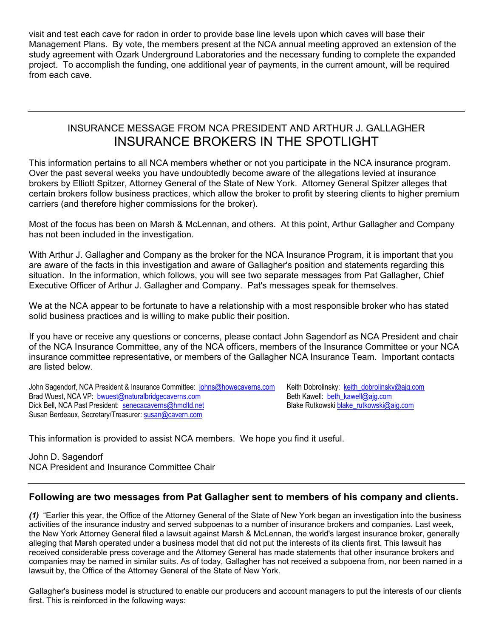visit and test each cave for radon in order to provide base line levels upon which caves will base their Management Plans. By vote, the members present at the NCA annual meeting approved an extension of the study agreement with Ozark Underground Laboratories and the necessary funding to complete the expanded project. To accomplish the funding, one additional year of payments, in the current amount, will be required from each cave.

#### INSURANCE MESSAGE FROM NCA PRESIDENT AND ARTHUR J. GALLAGHER INSURANCE BROKERS IN THE SPOTLIGHT

This information pertains to all NCA members whether or not you participate in the NCA insurance program. Over the past several weeks you have undoubtedly become aware of the allegations levied at insurance brokers by Elliott Spitzer, Attorney General of the State of New York. Attorney General Spitzer alleges that certain brokers follow business practices, which allow the broker to profit by steering clients to higher premium carriers (and therefore higher commissions for the broker).

Most of the focus has been on Marsh & McLennan, and others. At this point, Arthur Gallagher and Company has not been included in the investigation.

With Arthur J. Gallagher and Company as the broker for the NCA Insurance Program, it is important that you are aware of the facts in this investigation and aware of Gallagher's position and statements regarding this situation. In the information, which follows, you will see two separate messages from Pat Gallagher, Chief Executive Officer of Arthur J. Gallagher and Company. Pat's messages speak for themselves.

We at the NCA appear to be fortunate to have a relationship with a most responsible broker who has stated solid business practices and is willing to make public their position.

If you have or receive any questions or concerns, please contact John Sagendorf as NCA President and chair of the NCA Insurance Committee, any of the NCA officers, members of the Insurance Committee or your NCA insurance committee representative, or members of the Gallagher NCA Insurance Team. Important contacts are listed below.

John Sagendorf, NCA President & Insurance Committee: johns@howecaverns.com Keith Dobrolinsky: keith\_dobrolinsky@ajg.com Brad Wuest, NCA VP: <u>bwuest@naturalbridgecaverns.com</u> Beth Kawell: <u>beth\_kawell@ajg.com</u><br>Dick Bell, NCA Past President: <u>senecacaverns@hmcltd.net</u> Beth Kawell: beth\_kawell: blake\_rutkowski@aig.com Dick Bell, NCA Past President: senecacaverns@hmcltd.net Susan Berdeaux, Secretary/Treasurer: susan@cavern.com

This information is provided to assist NCA members. We hope you find it useful.

John D. Sagendorf NCA President and Insurance Committee Chair

#### **Following are two messages from Pat Gallagher sent to members of his company and clients.**

*(1)* "Earlier this year, the Office of the Attorney General of the State of New York began an investigation into the business activities of the insurance industry and served subpoenas to a number of insurance brokers and companies. Last week, the New York Attorney General filed a lawsuit against Marsh & McLennan, the world's largest insurance broker, generally alleging that Marsh operated under a business model that did not put the interests of its clients first. This lawsuit has received considerable press coverage and the Attorney General has made statements that other insurance brokers and companies may be named in similar suits. As of today, Gallagher has not received a subpoena from, nor been named in a lawsuit by, the Office of the Attorney General of the State of New York.

Gallagher's business model is structured to enable our producers and account managers to put the interests of our clients first. This is reinforced in the following ways: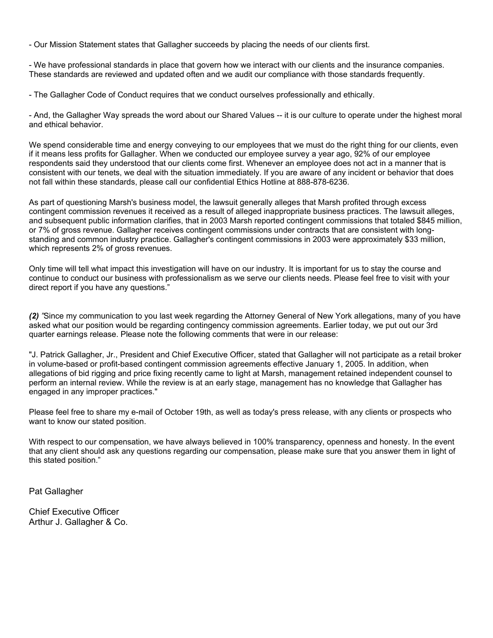- Our Mission Statement states that Gallagher succeeds by placing the needs of our clients first.

- We have professional standards in place that govern how we interact with our clients and the insurance companies. These standards are reviewed and updated often and we audit our compliance with those standards frequently.

- The Gallagher Code of Conduct requires that we conduct ourselves professionally and ethically.

- And, the Gallagher Way spreads the word about our Shared Values -- it is our culture to operate under the highest moral and ethical behavior.

We spend considerable time and energy conveying to our employees that we must do the right thing for our clients, even if it means less profits for Gallagher. When we conducted our employee survey a year ago, 92% of our employee respondents said they understood that our clients come first. Whenever an employee does not act in a manner that is consistent with our tenets, we deal with the situation immediately. If you are aware of any incident or behavior that does not fall within these standards, please call our confidential Ethics Hotline at 888-878-6236.

As part of questioning Marsh's business model, the lawsuit generally alleges that Marsh profited through excess contingent commission revenues it received as a result of alleged inappropriate business practices. The lawsuit alleges, and subsequent public information clarifies, that in 2003 Marsh reported contingent commissions that totaled \$845 million, or 7% of gross revenue. Gallagher receives contingent commissions under contracts that are consistent with longstanding and common industry practice. Gallagher's contingent commissions in 2003 were approximately \$33 million, which represents 2% of gross revenues.

Only time will tell what impact this investigation will have on our industry. It is important for us to stay the course and continue to conduct our business with professionalism as we serve our clients needs. Please feel free to visit with your direct report if you have any questions."

*(2) "*Since my communication to you last week regarding the Attorney General of New York allegations, many of you have asked what our position would be regarding contingency commission agreements. Earlier today, we put out our 3rd quarter earnings release. Please note the following comments that were in our release:

"J. Patrick Gallagher, Jr., President and Chief Executive Officer, stated that Gallagher will not participate as a retail broker in volume-based or profit-based contingent commission agreements effective January 1, 2005. In addition, when allegations of bid rigging and price fixing recently came to light at Marsh, management retained independent counsel to perform an internal review. While the review is at an early stage, management has no knowledge that Gallagher has engaged in any improper practices."

Please feel free to share my e-mail of October 19th, as well as today's press release, with any clients or prospects who want to know our stated position.

With respect to our compensation, we have always believed in 100% transparency, openness and honesty. In the event that any client should ask any questions regarding our compensation, please make sure that you answer them in light of this stated position."

Pat Gallagher

Chief Executive Officer Arthur J. Gallagher & Co.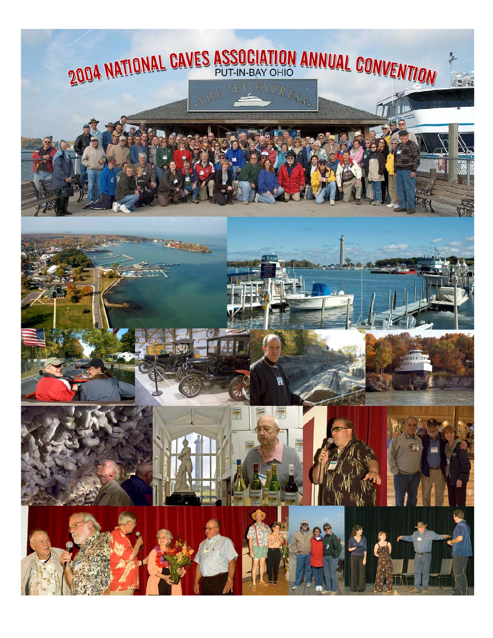